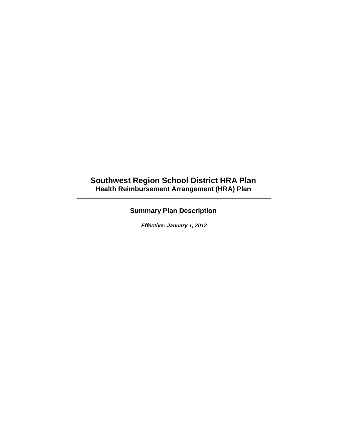# **Southwest Region School District HRA Plan Health Reimbursement Arrangement (HRA) Plan**

\_\_\_\_\_\_\_\_\_\_\_\_\_\_\_\_\_\_\_\_\_\_\_\_\_\_\_\_\_\_\_\_\_\_\_\_\_\_\_\_\_\_\_\_\_\_\_\_\_\_\_\_\_\_\_\_\_\_\_\_\_\_\_\_\_

# **Summary Plan Description**

*Effective: January 1, 2012*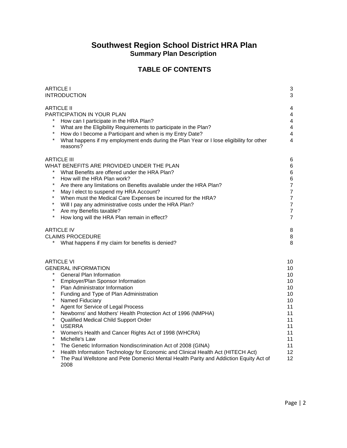# **Southwest Region School District HRA Plan Summary Plan Description**

# **TABLE OF CONTENTS**

| <b>ARTICLE I</b><br><b>INTRODUCTION</b>                                                                                                                                                                                                                                                                                                                                                                                                                                                                                                                                                                                                                                                                                                                                                                                                                       | 3<br>3                                                                                                                         |
|---------------------------------------------------------------------------------------------------------------------------------------------------------------------------------------------------------------------------------------------------------------------------------------------------------------------------------------------------------------------------------------------------------------------------------------------------------------------------------------------------------------------------------------------------------------------------------------------------------------------------------------------------------------------------------------------------------------------------------------------------------------------------------------------------------------------------------------------------------------|--------------------------------------------------------------------------------------------------------------------------------|
| <b>ARTICLE II</b><br><b>PARTICIPATION IN YOUR PLAN</b><br>How can I participate in the HRA Plan?<br>What are the Eligibility Requirements to participate in the Plan?<br>$\star$<br>How do I become a Participant and when is my Entry Date?<br>$\star$<br>What happens if my employment ends during the Plan Year or I lose eligibility for other<br>reasons?                                                                                                                                                                                                                                                                                                                                                                                                                                                                                                | 4<br>$\overline{4}$<br>$\overline{4}$<br>$\overline{4}$<br>$\overline{\mathbf{4}}$<br>$\overline{\mathbf{4}}$                  |
| <b>ARTICLE III</b><br>WHAT BENEFITS ARE PROVIDED UNDER THE PLAN<br>What Benefits are offered under the HRA Plan?<br>$\star$<br>How will the HRA Plan work?<br>$\star$<br>Are there any limitations on Benefits available under the HRA Plan?<br>May I elect to suspend my HRA Account?<br>When must the Medical Care Expenses be incurred for the HRA?<br>Will I pay any administrative costs under the HRA Plan?<br>Are my Benefits taxable?<br>$\star$<br>How long will the HRA Plan remain in effect?                                                                                                                                                                                                                                                                                                                                                      | 6<br>6<br>6<br>6<br>$\boldsymbol{7}$<br>$\overline{7}$<br>$\overline{7}$<br>$\overline{7}$<br>$\overline{7}$<br>$\overline{7}$ |
| <b>ARTICLE IV</b><br><b>CLAIMS PROCEDURE</b><br>What happens if my claim for benefits is denied?                                                                                                                                                                                                                                                                                                                                                                                                                                                                                                                                                                                                                                                                                                                                                              | 8<br>8<br>8                                                                                                                    |
| <b>ARTICLE VI</b><br><b>GENERAL INFORMATION</b><br>$\star$<br>General Plan Information<br>$\star$<br>Employer/Plan Sponsor Information<br>$\star$<br>Plan Administrator Information<br>Funding and Type of Plan Administration<br>$\star$<br>Named Fiduciary<br>$\star$<br>Agent for Service of Legal Process<br>$\star$<br>Newborns' and Mothers' Health Protection Act of 1996 (NMPHA)<br>$\star$<br>Qualified Medical Child Support Order<br>$\star$<br><b>USERRA</b><br>$\star$<br>Women's Health and Cancer Rights Act of 1998 (WHCRA)<br>$\star$<br>Michelle's Law<br>$\star$<br>The Genetic Information Nondiscrimination Act of 2008 (GINA)<br>$\star$<br>Health Information Technology for Economic and Clinical Health Act (HITECH Act)<br>$\star$<br>The Paul Wellstone and Pete Domenici Mental Health Parity and Addiction Equity Act of<br>2008 | 10<br>10<br>10<br>10<br>10<br>10<br>10<br>11<br>11<br>11<br>11<br>11<br>11<br>11<br>12<br>12                                   |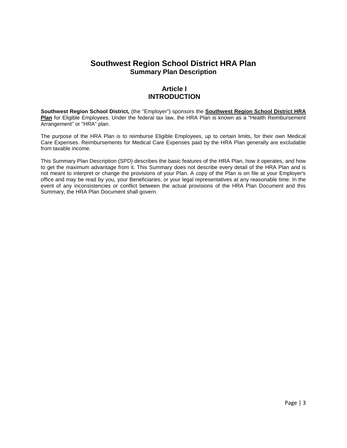# **Southwest Region School District HRA Plan Summary Plan Description**

# **Article I INTRODUCTION**

**Southwest Region School District,** (the "Employer") sponsors the **Southwest Region School District HRA Plan** for Eligible Employees. Under the federal tax law, the HRA Plan is known as a "Health Reimbursement Arrangement" or "HRA" plan.

The purpose of the HRA Plan is to reimburse Eligible Employees, up to certain limits, for their own Medical Care Expenses. Reimbursements for Medical Care Expenses paid by the HRA Plan generally are excludable from taxable income.

This Summary Plan Description (SPD) describes the basic features of the HRA Plan, how it operates, and how to get the maximum advantage from it. This Summary does not describe every detail of the HRA Plan and is not meant to interpret or change the provisions of your Plan. A copy of the Plan is on file at your Employer's office and may be read by you, your Beneficiaries, or your legal representatives at any reasonable time. In the event of any inconsistencies or conflict between the actual provisions of the HRA Plan Document and this Summary, the HRA Plan Document shall govern.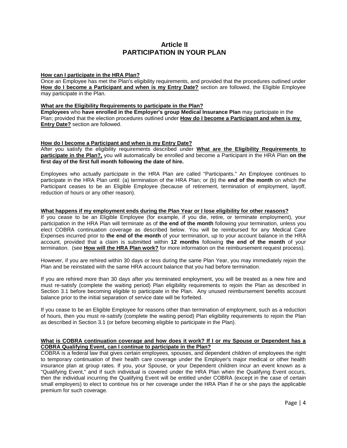## **Article II PARTICIPATION IN YOUR PLAN**

## **How can I participate in the HRA Plan?**

Once an Employee has met the Plan's eligibility requirements, and provided that the procedures outlined under **How do I become a Participant and when is my Entry Date?** section are followed, the Eligible Employee may participate in the Plan.

## **What are the Eligibility Requirements to participate in the Plan?**

**Employees** who **have enrolled in the Employer's group Medical Insurance Plan** may participate in the Plan; provided that the election procedures outlined under **How do I become a Participant and when is my Entry Date?** section are followed.

## **How do I become a Participant and when is my Entry Date?**

After you satisfy the eligibility requirements described under **What are the Eligibility Requirements to participate in the Plan?,** you will automatically be enrolled and become a Participant in the HRA Plan **on the first day of the first full month following the date of hire.**

Employees who actually participate in the HRA Plan are called "Participants." An Employee continues to participate in the HRA Plan until: (a) termination of the HRA Plan; or (b) the **end of the month** on which the Participant ceases to be an Eligible Employee (because of retirement, termination of employment, layoff, reduction of hours or any other reason).

#### **What happens if my employment ends during the Plan Year or I lose eligibility for other reasons?**

If you cease to be an Eligible Employee (for example, if you die, retire, or terminate employment), your participation in the HRA Plan will terminate as of **the end of the month** following your termination, unless you elect COBRA continuation coverage as described below. You will be reimbursed for any Medical Care Expenses incurred prior to **the end of the month** of your termination, up to your account balance in the HRA account, provided that a claim is submitted within **12 months** following **the end of the month** of your termination. (see **How will the HRA Plan work?** for more information on the reimbursement request process).

However, if you are rehired within 30 days or less during the same Plan Year, you may immediately rejoin the Plan and be reinstated with the same HRA account balance that you had before termination.

If you are rehired more than 30 days after you terminated employment, you will be treated as a new hire and must re-satisfy (complete the waiting period) Plan eligibility requirements to rejoin the Plan as described in Section 3.1 before becoming eligible to participate in the Plan. Any unused reimbursement benefits account balance prior to the initial separation of service date will be forfeited.

If you cease to be an Eligible Employee for reasons other than termination of employment, such as a reduction of hours, then you must re-satisfy (complete the waiting period) Plan eligibility requirements to rejoin the Plan as described in Section 3.1 (or before becoming eligible to participate in the Plan).

### **What is COBRA continuation coverage and how does it work? If I or my Spouse or Dependent has a COBRA Qualifying Event, can I continue to participate in the Plan?**

COBRA is a federal law that gives certain employees, spouses, and dependent children of employees the right to temporary continuation of their health care coverage under the Employer's major medical or other health insurance plan at group rates. If you, your Spouse, or your Dependent children incur an event known as a "Qualifying Event," and if such individual is covered under the HRA Plan when the Qualifying Event occurs, then the individual incurring the Qualifying Event will be entitled under COBRA (except in the case of certain small employers) to elect to continue his or her coverage under the HRA Plan if he or she pays the applicable premium for such coverage.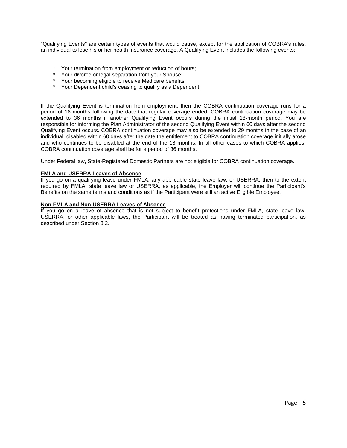"Qualifying Events" are certain types of events that would cause, except for the application of COBRA's rules, an individual to lose his or her health insurance coverage. A Qualifying Event includes the following events:

- \* Your termination from employment or reduction of hours;
- Your divorce or legal separation from your Spouse;
- Your becoming eligible to receive Medicare benefits;
- Your Dependent child's ceasing to qualify as a Dependent.

If the Qualifying Event is termination from employment, then the COBRA continuation coverage runs for a period of 18 months following the date that regular coverage ended. COBRA continuation coverage may be extended to 36 months if another Qualifying Event occurs during the initial 18-month period. You are responsible for informing the Plan Administrator of the second Qualifying Event within 60 days after the second Qualifying Event occurs. COBRA continuation coverage may also be extended to 29 months in the case of an individual, disabled within 60 days after the date the entitlement to COBRA continuation coverage initially arose and who continues to be disabled at the end of the 18 months. In all other cases to which COBRA applies, COBRA continuation coverage shall be for a period of 36 months.

Under Federal law, State-Registered Domestic Partners are not eligible for COBRA continuation coverage.

## **FMLA and USERRA Leaves of Absence**

If you go on a qualifying leave under FMLA, any applicable state leave law, or USERRA, then to the extent required by FMLA, state leave law or USERRA, as applicable, the Employer will continue the Participant's Benefits on the same terms and conditions as if the Participant were still an active Eligible Employee.

#### **Non-FMLA and Non-USERRA Leaves of Absence**

If you go on a leave of absence that is not subject to benefit protections under FMLA, state leave law, USERRA, or other applicable laws, the Participant will be treated as having terminated participation, as described under Section 3.2.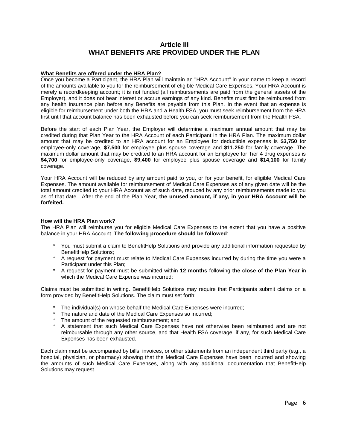## **Article III WHAT BENEFITS ARE PROVIDED UNDER THE PLAN**

## **What Benefits are offered under the HRA Plan?**

Once you become a Participant, the HRA Plan will maintain an "HRA Account" in your name to keep a record of the amounts available to you for the reimbursement of eligible Medical Care Expenses. Your HRA Account is merely a recordkeeping account; it is not funded (all reimbursements are paid from the general assets of the Employer), and it does not bear interest or accrue earnings of any kind. Benefits must first be reimbursed from any health insurance plan before any Benefits are payable from this Plan. In the event that an expense is eligible for reimbursement under both the HRA and a Health FSA, you must seek reimbursement from the HRA first until that account balance has been exhausted before you can seek reimbursement from the Health FSA.

Before the start of each Plan Year, the Employer will determine a maximum annual amount that may be credited during that Plan Year to the HRA Account of each Participant in the HRA Plan. The maximum dollar amount that may be credited to an HRA account for an Employee for deductible expenses is **\$3,750** for employee-only coverage, **\$7,500** for employee plus spouse coverage and **\$11,250** for family coverage. The maximum dollar amount that may be credited to an HRA account for an Employee for Tier 4 drug expenses is **\$4,700** for employee-only coverage, **\$9,400** for employee plus spouse coverage and **\$14,100** for family coverage.

Your HRA Account will be reduced by any amount paid to you, or for your benefit, for eligible Medical Care Expenses. The amount available for reimbursement of Medical Care Expenses as of any given date will be the total amount credited to your HRA Account as of such date, reduced by any prior reimbursements made to you as of that date. After the end of the Plan Year, **the unused amount, if any, in your HRA Account will be forfeited.**

## **How will the HRA Plan work?**

The HRA Plan will reimburse you for eligible Medical Care Expenses to the extent that you have a positive balance in your HRA Account. **The following procedure should be followed**:

- \* You must submit a claim to BenefitHelp Solutions and provide any additional information requested by BenefitHelp Solutions;
- \* A request for payment must relate to Medical Care Expenses incurred by during the time you were a Participant under this Plan;
- \* A request for payment must be submitted within **12 months** following **the close of the Plan Year** in which the Medical Care Expense was incurred;

Claims must be submitted in writing. BenefitHelp Solutions may require that Participants submit claims on a form provided by BenefitHelp Solutions. The claim must set forth:

- The individual(s) on whose behalf the Medical Care Expenses were incurred;
- The nature and date of the Medical Care Expenses so incurred;
- The amount of the requested reimbursement; and
- A statement that such Medical Care Expenses have not otherwise been reimbursed and are not reimbursable through any other source, and that Health FSA coverage, if any, for such Medical Care Expenses has been exhausted.

Each claim must be accompanied by bills, invoices, or other statements from an independent third party (e.g., a hospital, physician, or pharmacy) showing that the Medical Care Expenses have been incurred and showing the amounts of such Medical Care Expenses, along with any additional documentation that BenefitHelp Solutions may request.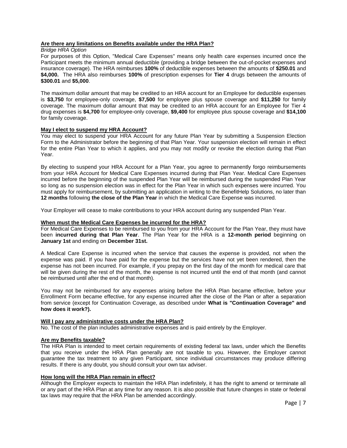## **Are there any limitations on Benefits available under the HRA Plan?**

*Bridge HRA Option*

For purposes of this Option, "Medical Care Expenses" means only health care expenses incurred once the Participant meets the minimum annual deductible (providing a bridge between the out-of-pocket expenses and insurance coverage). The HRA reimburses **100%** of deductible expenses between the amounts of **\$250.01** and **\$4,000.** The HRA also reimburses **100%** of prescription expenses for **Tier 4** drugs between the amounts of **\$300.01** and **\$5,000**.

The maximum dollar amount that may be credited to an HRA account for an Employee for deductible expenses is **\$3,750** for employee-only coverage, **\$7,500** for employee plus spouse coverage and **\$11,250** for family coverage. The maximum dollar amount that may be credited to an HRA account for an Employee for Tier 4 drug expenses is **\$4,700** for employee-only coverage, **\$9,400** for employee plus spouse coverage and **\$14,100** for family coverage.

## **May I elect to suspend my HRA Account?**

You may elect to suspend your HRA Account for any future Plan Year by submitting a Suspension Election Form to the Administrator before the beginning of that Plan Year. Your suspension election will remain in effect for the entire Plan Year to which it applies, and you may not modify or revoke the election during that Plan Year.

By electing to suspend your HRA Account for a Plan Year, you agree to permanently forgo reimbursements from your HRA Account for Medical Care Expenses incurred during that Plan Year. Medical Care Expenses incurred before the beginning of the suspended Plan Year will be reimbursed during the suspended Plan Year so long as no suspension election was in effect for the Plan Year in which such expenses were incurred. You must apply for reimbursement, by submitting an application in writing to the BenefitHelp Solutions, no later than **12 months** following **the close of the Plan Year** in which the Medical Care Expense was incurred.

Your Employer will cease to make contributions to your HRA account during any suspended Plan Year.

## **When must the Medical Care Expenses be incurred for the HRA?**

For Medical Care Expenses to be reimbursed to you from your HRA Account for the Plan Year, they must have been **incurred during that Plan Year**. The Plan Year for the HRA is a **12-month period** beginning on **January 1st** and ending on **December 31st.** 

A Medical Care Expense is incurred when the service that causes the expense is provided, not when the expense was paid. If you have paid for the expense but the services have not yet been rendered, then the expense has not been incurred. For example, if you prepay on the first day of the month for medical care that will be given during the rest of the month, the expense is not incurred until the end of that month (and cannot be reimbursed until after the end of that month).

You may not be reimbursed for any expenses arising before the HRA Plan became effective, before your Enrollment Form became effective, for any expense incurred after the close of the Plan or after a separation from service (except for Continuation Coverage, as described under **What is "Continuation Coverage" and how does it work?).**

#### **Will I pay any administrative costs under the HRA Plan?**

No. The cost of the plan includes administrative expenses and is paid entirely by the Employer.

#### **Are my Benefits taxable?**

The HRA Plan is intended to meet certain requirements of existing federal tax laws, under which the Benefits that you receive under the HRA Plan generally are not taxable to you. However, the Employer cannot guarantee the tax treatment to any given Participant, since individual circumstances may produce differing results. If there is any doubt, you should consult your own tax adviser.

## **How long will the HRA Plan remain in effect?**

Although the Employer expects to maintain the HRA Plan indefinitely, it has the right to amend or terminate all or any part of the HRA Plan at any time for any reason. It is also possible that future changes in state or federal tax laws may require that the HRA Plan be amended accordingly.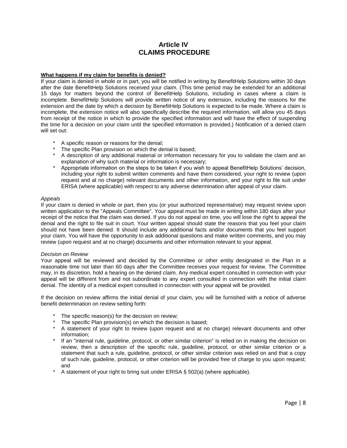## **Article IV CLAIMS PROCEDURE**

## **What happens if my claim for benefits is denied?**

If your claim is denied in whole or in part, you will be notified in writing by BenefitHelp Solutions within 30 days after the date BenefitHelp Solutions received your claim. (This time period may be extended for an additional 15 days for matters beyond the control of BenefitHelp Solutions, including in cases where a claim is incomplete. BenefitHelp Solutions will provide written notice of any extension, including the reasons for the extension and the date by which a decision by BenefitHelp Solutions is expected to be made. Where a claim is incomplete, the extension notice will also specifically describe the required information, will allow you 45 days from receipt of the notice in which to provide the specified information and will have the effect of suspending the time for a decision on your claim until the specified information is provided.) Notification of a denied claim will set out:

- A specific reason or reasons for the denial;
- The specific Plan provision on which the denial is based;
- A description of any additional material or information necessary for you to validate the claim and an explanation of why such material or information is necessary;
- Appropriate information on the steps to be taken if you wish to appeal BenefitHelp Solutions' decision, including your right to submit written comments and have them considered, your right to review (upon request and at no charge) relevant documents and other information, and your right to file suit under ERISA (where applicable) with respect to any adverse determination after appeal of your claim.

#### *Appeals*

If your claim is denied in whole or part, then you (or your authorized representative) may request review upon written application to the "Appeals Committee". Your appeal must be made in writing within 180 days after your receipt of the notice that the claim was denied. If you do not appeal on time, you will lose the right to appeal the denial and the right to file suit in court. Your written appeal should state the reasons that you feel your claim should not have been denied. It should include any additional facts and/or documents that you feel support your claim. You will have the opportunity to ask additional questions and make written comments, and you may review (upon request and at no charge) documents and other information relevant to your appeal.

#### *Decision on Review*

Your appeal will be reviewed and decided by the Committee or other entity designated in the Plan in a reasonable time not later than 60 days after the Committee receives your request for review. The Committee may, in its discretion, hold a hearing on the denied claim. Any medical expert consulted in connection with your appeal will be different from and not subordinate to any expert consulted in connection with the initial claim denial. The identity of a medical expert consulted in connection with your appeal will be provided.

If the decision on review affirms the initial denial of your claim, you will be furnished with a notice of adverse benefit determination on review setting forth:

- The specific reason(s) for the decision on review;
- \* The specific Plan provision(s) on which the decision is based;
- \* A statement of your right to review (upon request and at no charge) relevant documents and other information;
- If an "internal rule, guideline, protocol, or other similar criterion" is relied on in making the decision on review, then a description of the specific rule, guideline, protocol, or other similar criterion or a statement that such a rule, guideline, protocol, or other similar criterion was relied on and that a copy of such rule, guideline, protocol, or other criterion will be provided free of charge to you upon request; and
- A statement of your right to bring suit under ERISA  $\S$  502(a) (where applicable).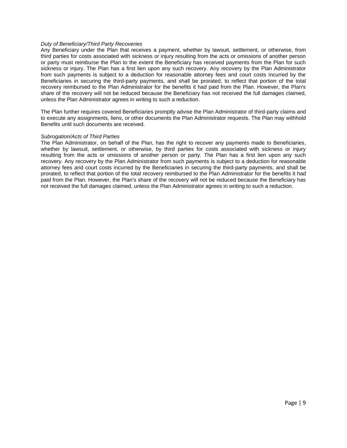#### *Duty of Beneficiary/Third Party Recoveries*

Any Beneficiary under the Plan that receives a payment, whether by lawsuit, settlement, or otherwise, from third parties for costs associated with sickness or injury resulting from the acts or omissions of another person or party must reimburse the Plan to the extent the Beneficiary has received payments from the Plan for such sickness or injury. The Plan has a first lien upon any such recovery. Any recovery by the Plan Administrator from such payments is subject to a deduction for reasonable attorney fees and court costs incurred by the Beneficiaries in securing the third-party payments, and shall be prorated, to reflect that portion of the total recovery reimbursed to the Plan Administrator for the benefits it had paid from the Plan. However, the Plan's share of the recovery will not be reduced because the Beneficiary has not received the full damages claimed, unless the Plan Administrator agrees in writing to such a reduction.

The Plan further requires covered Beneficiaries promptly advise the Plan Administrator of third-party claims and to execute any assignments, liens, or other documents the Plan Administrator requests. The Plan may withhold Benefits until such documents are received.

#### *Subrogation/Acts of Third Parties*

The Plan Administrator, on behalf of the Plan, has the right to recover any payments made to Beneficiaries, whether by lawsuit, settlement, or otherwise, by third parties for costs associated with sickness or injury resulting from the acts or omissions of another person or party. The Plan has a first lien upon any such recovery. Any recovery by the Plan Administrator from such payments is subject to a deduction for reasonable attorney fees and court costs incurred by the Beneficiaries in securing the third-party payments, and shall be prorated, to reflect that portion of the total recovery reimbursed to the Plan Administrator for the benefits it had paid from the Plan. However, the Plan's share of the recovery will not be reduced because the Beneficiary has not received the full damages claimed, unless the Plan Administrator agrees in writing to such a reduction.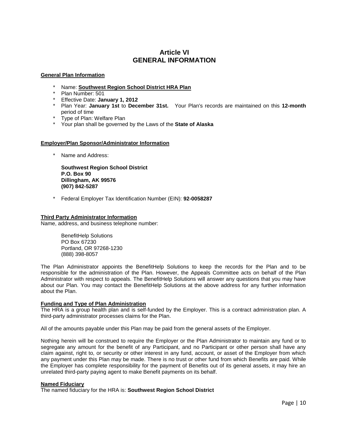# **Article VI GENERAL INFORMATION**

## **General Plan Information**

- \* Name: **Southwest Region School District HRA Plan**
- \* Plan Number: 501
- \* Effective Date: **January 1, 2012**
- \* Plan Year: **January 1st** to **December 31st.** Your Plan's records are maintained on this **12-month** period of time
- \* Type of Plan: Welfare Plan
- \* Your plan shall be governed by the Laws of the **State of Alaska**

## **Employer/Plan Sponsor/Administrator Information**

\* Name and Address:

**Southwest Region School District P.O. Box 90 Dillingham, AK 99576 (907) 842-5287**

\* Federal Employer Tax Identification Number (EIN): **92-0058287**

## **Third Party Administrator Information**

Name, address, and business telephone number:

BenefitHelp Solutions PO Box 67230 Portland, OR 97268-1230 (888) 398-8057

The Plan Administrator appoints the BenefitHelp Solutions to keep the records for the Plan and to be responsible for the administration of the Plan. However, the Appeals Committee acts on behalf of the Plan Administrator with respect to appeals. The BenefitHelp Solutions will answer any questions that you may have about our Plan. You may contact the BenefitHelp Solutions at the above address for any further information about the Plan.

## **Funding and Type of Plan Administration**

The HRA is a group health plan and is self-funded by the Employer. This is a contract administration plan. A third-party administrator processes claims for the Plan.

All of the amounts payable under this Plan may be paid from the general assets of the Employer.

Nothing herein will be construed to require the Employer or the Plan Administrator to maintain any fund or to segregate any amount for the benefit of any Participant, and no Participant or other person shall have any claim against, right to, or security or other interest in any fund, account, or asset of the Employer from which any payment under this Plan may be made. There is no trust or other fund from which Benefits are paid. While the Employer has complete responsibility for the payment of Benefits out of its general assets, it may hire an unrelated third-party paying agent to make Benefit payments on its behalf.

#### **Named Fiduciary**

The named fiduciary for the HRA is: **Southwest Region School District**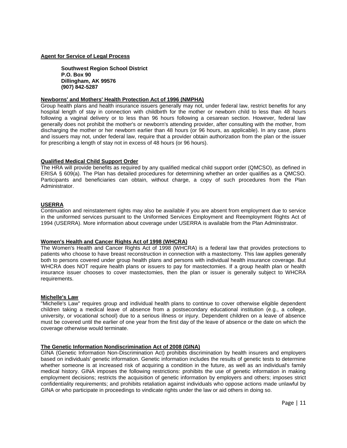## **Agent for Service of Legal Process**

**Southwest Region School District P.O. Box 90 Dillingham, AK 99576 (907) 842-5287**

#### **Newborns' and Mothers' Health Protection Act of 1996 (NMPHA)**

Group health plans and health insurance issuers generally may not, under federal law, restrict benefits for any hospital length of stay in connection with childbirth for the mother or newborn child to less than 48 hours following a vaginal delivery or to less than 96 hours following a cesarean section. However, federal law generally does not prohibit the mother's or newborn's attending provider, after consulting with the mother, from discharging the mother or her newborn earlier than 48 hours (or 96 hours, as applicable). In any case, plans and issuers may not, under federal law, require that a provider obtain authorization from the plan or the issuer for prescribing a length of stay not in excess of 48 hours (or 96 hours).

## **Qualified Medical Child Support Order**

The HRA will provide benefits as required by any qualified medical child support order (QMCSO), as defined in ERISA § 609(a). The Plan has detailed procedures for determining whether an order qualifies as a QMCSO. Participants and beneficiaries can obtain, without charge, a copy of such procedures from the Plan Administrator.

#### **USERRA**

Continuation and reinstatement rights may also be available if you are absent from employment due to service in the uniformed services pursuant to the Uniformed Services Employment and Reemployment Rights Act of 1994 (USERRA). More information about coverage under USERRA is available from the Plan Administrator.

#### **Women's Health and Cancer Rights Act of 1998 (WHCRA)**

The Women's Health and Cancer Rights Act of 1998 (WHCRA) is a federal law that provides protections to patients who choose to have breast reconstruction in connection with a mastectomy. This law applies generally both to persons covered under group health plans and persons with individual health insurance coverage. But WHCRA does NOT require health plans or issuers to pay for mastectomies. If a group health plan or health insurance issuer chooses to cover mastectomies, then the plan or issuer is generally subject to WHCRA requirements.

#### **Michelle's Law**

"Michelle's Law" requires group and individual health plans to continue to cover otherwise eligible dependent children taking a medical leave of absence from a postsecondary educational institution (e.g., a college, university, or vocational school) due to a serious illness or injury. Dependent children on a leave of absence must be covered until the earlier of one year from the first day of the leave of absence or the date on which the coverage otherwise would terminate.

## **The Genetic Information Nondiscrimination Act of 2008 (GINA)**

GINA (Genetic Information Non-Discrimination Act) prohibits discrimination by health insurers and employers based on individuals' genetic information. Genetic information includes the results of genetic tests to determine whether someone is at increased risk of acquiring a condition in the future, as well as an individual's family medical history. GINA imposes the following restrictions: prohibits the use of genetic information in making employment decisions; restricts the acquisition of genetic information by employers and others; imposes strict confidentiality requirements; and prohibits retaliation against individuals who oppose actions made unlawful by GINA or who participate in proceedings to vindicate rights under the law or aid others in doing so.